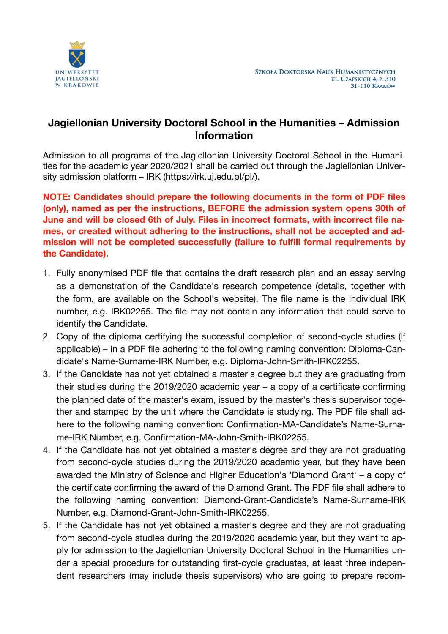

## **Jagiellonian University Doctoral School in the Humanities – Admission Information**

Admission to all programs of the Jagiellonian University Doctoral School in the Humanities for the academic year 2020/2021 shall be carried out through the Jagiellonian University admission platform - IRK (<https://irk.uj.edu.pl/pl/>).

**NOTE: Candidates should prepare the following documents in the form of PDF files (only), named as per the instructions, BEFORE the admission system opens 30th of June and will be closed 6th of July. Files in incorrect formats, with incorrect file names, or created without adhering to the instructions, shall not be accepted and admission will not be completed successfully (failure to fulfill formal requirements by the Candidate).** 

- 1. Fully anonymised PDF file that contains the draft research plan and an essay serving as a demonstration of the Candidate's research competence (details, together with the form, are available on the School's website). The file name is the individual IRK number, e.g. IRK02255. The file may not contain any information that could serve to identify the Candidate.
- 2. Copy of the diploma certifying the successful completion of second-cycle studies (if applicable) – in a PDF file adhering to the following naming convention: Diploma-Candidate's Name-Surname-IRK Number, e.g. Diploma-John-Smith-IRK02255.
- 3. If the Candidate has not yet obtained a master's degree but they are graduating from their studies during the 2019/2020 academic year – a copy of a certificate confirming the planned date of the master's exam, issued by the master's thesis supervisor together and stamped by the unit where the Candidate is studying. The PDF file shall adhere to the following naming convention: Confirmation-MA-Candidate's Name-Surname-IRK Number, e.g. Confirmation-MA-John-Smith-IRK02255.
- 4. If the Candidate has not yet obtained a master's degree and they are not graduating from second-cycle studies during the 2019/2020 academic year, but they have been awarded the Ministry of Science and Higher Education's 'Diamond Grant' – a copy of the certificate confirming the award of the Diamond Grant. The PDF file shall adhere to the following naming convention: Diamond-Grant-Candidate's Name-Surname-IRK Number, e.g. Diamond-Grant-John-Smith-IRK02255.
- 5. If the Candidate has not yet obtained a master's degree and they are not graduating from second-cycle studies during the 2019/2020 academic year, but they want to apply for admission to the Jagiellonian University Doctoral School in the Humanities under a special procedure for outstanding first-cycle graduates, at least three independent researchers (may include thesis supervisors) who are going to prepare recom-